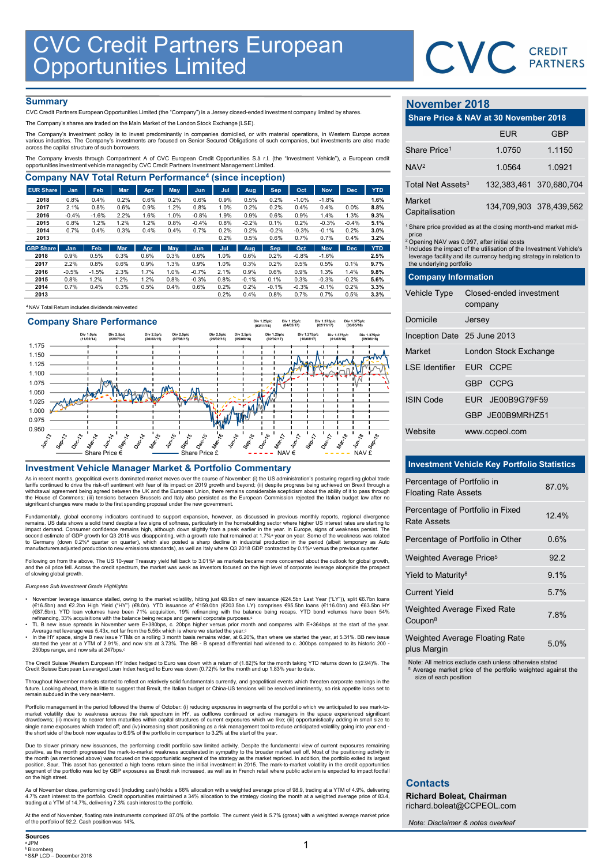

## **Summary**

|                                                                                                                                                                                                                                                                                      |              |                 |              |              |              |                    |              | <b>CVC Credit Partners European</b> |                 |                 |                       |                 |              |                                                                                                                                                    | CVC CREDIT              |            |
|--------------------------------------------------------------------------------------------------------------------------------------------------------------------------------------------------------------------------------------------------------------------------------------|--------------|-----------------|--------------|--------------|--------------|--------------------|--------------|-------------------------------------|-----------------|-----------------|-----------------------|-----------------|--------------|----------------------------------------------------------------------------------------------------------------------------------------------------|-------------------------|------------|
|                                                                                                                                                                                                                                                                                      |              |                 |              |              |              |                    |              |                                     |                 |                 |                       |                 |              |                                                                                                                                                    |                         |            |
|                                                                                                                                                                                                                                                                                      |              |                 |              |              |              |                    |              |                                     |                 |                 |                       |                 |              |                                                                                                                                                    |                         |            |
|                                                                                                                                                                                                                                                                                      |              |                 |              |              |              |                    |              |                                     |                 |                 |                       |                 |              |                                                                                                                                                    |                         |            |
|                                                                                                                                                                                                                                                                                      |              |                 |              |              |              |                    |              |                                     |                 |                 |                       |                 |              |                                                                                                                                                    |                         |            |
|                                                                                                                                                                                                                                                                                      |              |                 |              |              |              |                    |              |                                     |                 |                 |                       |                 |              |                                                                                                                                                    |                         |            |
|                                                                                                                                                                                                                                                                                      |              |                 |              |              |              |                    |              |                                     |                 |                 |                       |                 |              |                                                                                                                                                    |                         |            |
|                                                                                                                                                                                                                                                                                      |              |                 |              |              |              |                    |              |                                     |                 |                 |                       |                 |              |                                                                                                                                                    |                         |            |
|                                                                                                                                                                                                                                                                                      |              |                 |              |              |              |                    |              |                                     |                 |                 |                       |                 |              |                                                                                                                                                    |                         |            |
|                                                                                                                                                                                                                                                                                      |              |                 |              |              |              |                    |              |                                     |                 |                 |                       |                 |              |                                                                                                                                                    |                         |            |
| <b>Summary</b>                                                                                                                                                                                                                                                                       |              |                 |              |              |              |                    |              |                                     |                 |                 |                       |                 |              | <b>November 2018</b>                                                                                                                               |                         |            |
| CVC Credit Partners European Opportunities Limited (the "Company") is a Jersey closed-ended investment company limited by shares.<br>The Company's shares are traded on the Main Market of the London Stock Exchange (LSE).                                                          |              |                 |              |              |              |                    |              |                                     |                 |                 |                       |                 |              | Share Price & NAV at 30 November 2018                                                                                                              |                         |            |
| The Company's investment policy is to invest predominantly in companies domiciled, or with material operations, in Western Europe across<br>various industries. The Company's investments are focused on Senior Secured Obligations of such companies, but investments are also made |              |                 |              |              |              |                    |              |                                     |                 |                 |                       |                 |              |                                                                                                                                                    | <b>EUR</b>              | <b>GBP</b> |
| across the capital structure of such borrowers.                                                                                                                                                                                                                                      |              |                 |              |              |              |                    |              |                                     |                 |                 |                       |                 |              | Share Price <sup>1</sup>                                                                                                                           | 1.0750                  | 1.1150     |
| The Company invests through Compartment A of CVC European Credit Opportunities S.à r.l. (the "Investment Vehicle"), a European credit<br>opportunities investment vehicle managed by CVC Credit Partners Investment Management Limited.                                              |              |                 |              |              |              |                    |              |                                     |                 |                 |                       |                 |              | NAV <sub>2</sub>                                                                                                                                   | 1.0564                  | 1.0921     |
| <b>Company NAV Total Return Performance<sup>4</sup> (since inception)</b>                                                                                                                                                                                                            |              |                 |              |              |              |                    |              |                                     |                 |                 |                       |                 |              | Total Net Assets <sup>3</sup>                                                                                                                      | 132,383,461             | 370,680,70 |
|                                                                                                                                                                                                                                                                                      | <b>Jan</b>   | Feb             | Mar          | Apr<br>0.6%  | May          | <b>Jun</b><br>0.6% | Jul<br>0.9%  | Aug<br>0.5%                         | Sep<br>0.2%     | Oct<br>$-1.0%$  | <b>Nov</b><br>$-1.8%$ | <b>Dec</b>      | <b>YTD</b>   |                                                                                                                                                    |                         |            |
| <b>EUR Share</b>                                                                                                                                                                                                                                                                     |              |                 | 0.2%         |              | 0.2%<br>1.2% | 0.8%               | 1.0%         | 0.2%                                | 0.2%            | 0.4%            | 0.4%                  | 0.0%            | 1.6%<br>8.8% | Market                                                                                                                                             | 134,709,903 378,439,56  |            |
| 2018<br>2017                                                                                                                                                                                                                                                                         | 0.8%<br>2.1% | 0.4%            | 0.6%         | 0.9%         |              |                    | 1.9%         | 0.9%                                | 0.6%            | 0.9%            | 1.4%                  | 1.3%            | 9.3%         | Capitalisation                                                                                                                                     |                         |            |
| 2016                                                                                                                                                                                                                                                                                 | $-0.4%$      | 0.8%<br>$-1.6%$ | 2.2%         | 1.6%         | 1.0%         | $-0.8%$            |              |                                     | 0.1%            | 0.2%            | $-0.3%$               | $-0.4%$<br>0.2% | 5.1%<br>3.0% | <sup>1</sup> Share price provided as at the closing month-end market mid                                                                           |                         |            |
| 2015                                                                                                                                                                                                                                                                                 | 0.8%         | 1.2%            | 1.2%         | 1.2%         | 0.8%         | $-0.4%$            | 0.8%         | $-0.2%$                             |                 |                 |                       |                 |              |                                                                                                                                                    |                         |            |
| 2014<br>2013                                                                                                                                                                                                                                                                         | 0.7%         | 0.4%            | 0.3%         | 0.4%         | 0.4%         | 0.7%               | 0.2%<br>0.2% | 0.2%<br>0.5%                        | $-0.2%$<br>0.6% | $-0.3%$<br>0.7% | $-0.1%$<br>0.7%       | 0.4%            | 3.2%         | price                                                                                                                                              |                         |            |
| <b>GBP Share</b>                                                                                                                                                                                                                                                                     | Jan          | Feb             | Mar          | Apr          | May          | Jun                | Jul          | Aug                                 | <b>Sep</b>      | Oct             | <b>Nov</b>            | <b>Dec</b>      | <b>YTD</b>   | <sup>2</sup> Opening NAV was 0.997, after initial costs                                                                                            |                         |            |
| 2018                                                                                                                                                                                                                                                                                 | 0.9%         | 0.5%            | 0.3%         | 0.6%         | 0.3%         | 0.6%               | 1.0%         | 0.6%                                | 0.2%            | $-0.8%$         | $-1.6%$               |                 | 2.5%         | <sup>3</sup> Includes the impact of the utilisation of the Investment Vehicle<br>leverage facility and its currency hedging strategy in relation t |                         |            |
| 2017                                                                                                                                                                                                                                                                                 | 2.2%         | 0.8%            | 0.6%         | 0.9%         | 1.3%         | 0.9%               | 1.0%         | 0.3%                                | 0.2%            | 0.5%            | 0.5%                  | 0.1%            | 9.7%         | the underlying portfolio                                                                                                                           |                         |            |
| 2016                                                                                                                                                                                                                                                                                 | $-0.5%$      | $-1.5%$         | 2.3%         | 1.7%         | 1.0%         | $-0.7%$            | 2.1%         | 0.9%                                | 0.6%            | 0.9%            | 1.3%                  | 1.4%            | 9.8%         | <b>Company Information</b>                                                                                                                         |                         |            |
| 2015<br>2014                                                                                                                                                                                                                                                                         | 0.8%<br>0.7% | 1.2%<br>0.4%    | 1.2%<br>0.3% | 1.2%<br>0.5% | 0.8%<br>0.4% | $-0.3%$<br>0.6%    | 0.8%<br>0.2% | $-0.1%$<br>0.2%                     | 0.1%<br>$-0.1%$ | 0.3%<br>$-0.3%$ | $-0.3%$<br>$-0.1%$    | $-0.2%$<br>0.2% | 5.6%<br>3.3% | <b>Vehicle Type</b>                                                                                                                                | Closed-ended investment |            |

## <sup>4</sup>NAV Total Return includes dividends reinvested



As in recent months, geopolitical events dominated market moves over the course of November: (i) the US administration's posturing regarding global trade<br>tariffs continued to drive the risk-off sentiment with fear of its i

Fundamentally, global economy indicators continued to support expansion, however, as discussed in previous monthly reports, regional divergence remains. US data shows a solid trend despite a few signs of softness, particularly in the homebuilding sector where higher US interest rates are starting to impact demand. Consumer confidence remains high, although down sl

Following on from the above, The US 10-year Treasury yield fell back to 3.01%<sup>b</sup> as markets became more concerned about the outlook for global growth,<br>and the oil price fell. Across the credit spectrum, the market was weak

European Sub Investment Grade Highlights

- November leverage issuance stalled, owing to the market volatility, hitting just €8.9bn of new issuance (€24.5bn Last Year ("LY")), split €6.7bn loans (€16.5bn) and €2.2bn High Yield ("HY") (€8.0n). YTD issuance of €159.
- TL B new issue spreads in November were E+380bps, c. 20bps higher versus prior month and compares with E+364bps at the start of the year.<br>The HY space, single B new issue S43x, not far from the 5.56x which is where we star
- 250bps range, and now sits at 247bps.<sup>c</sup>

The Credit Suisse Western European HY Index hedged to Euro was down with a return of (1.82)% for the month taking YTD returns down to (2.94)%. The<br>Credit Suisse European Leveraged Loan Index hedged to Euro was down (0.72)%

Throughout November markets started to reflect on relatively solid fundamentals currently, and geopolitical events which threaten corporate earnings in the<br>future. Looking ahead, there is little to suggest that Brexit, the

Portfolio management in the period followed the theme of October: (i) reducing exposures in segments of the portfolio which we anticipated to see mark-to-<br>market volatility due to weakness across the risk spectrum in HY, a the short side of the book now equates to 6.9% of the portfolio in comparison to 3.2% at the start of the year.

Due to slower primary new issuances, the performing credit portfolio saw limited activity. Despite the fundamental view of current exposures remaining positive, as the month progressed the mark-to-market weakness accelerated in sympathy to the broader market sell off. Most of the positioning activity in<br>the month (as mentioned above) was focused on the opportunistic segm on the high stre

As of November close, performing credit (including cash) holds a 66% allocation with a weighted average price of 98.9, trading at a YTM of 4.9%, delivering<br>4.7% cash interest to the portfolio. Credit opportunities maintain trading at a YTM of 14.7%, delivering 7.3% cash interest to the portfolio.

At the end of November, floating rate instruments comprised 87.0% of the portfolio. The current yield is 5.7% (gross) with a weighted average market price of the portfolio of 92.2. Cash position was 14%.

# November 2018

|                                   | CVC CREDIT                                                                                                                                                                                                                                                                       |                         |
|-----------------------------------|----------------------------------------------------------------------------------------------------------------------------------------------------------------------------------------------------------------------------------------------------------------------------------|-------------------------|
|                                   |                                                                                                                                                                                                                                                                                  |                         |
| November 2018                     |                                                                                                                                                                                                                                                                                  |                         |
|                                   | Share Price & NAV at 30 November 2018                                                                                                                                                                                                                                            |                         |
|                                   | <b>EUR</b>                                                                                                                                                                                                                                                                       | <b>GBP</b>              |
| Share Price <sup>1</sup>          | 1.0750                                                                                                                                                                                                                                                                           | 1.1150                  |
| NAV <sup>2</sup>                  | 1.0564                                                                                                                                                                                                                                                                           | 1.0921                  |
| Total Net Assets <sup>3</sup>     | 132,383,461                                                                                                                                                                                                                                                                      | 370,680,704             |
| Market<br>Capitalisation          |                                                                                                                                                                                                                                                                                  | 134,709,903 378,439,562 |
| price<br>the underlying portfolio | Share price provided as at the closing month-end market mid-<br><sup>2</sup> Opening NAV was 0.997, after initial costs<br><sup>3</sup> Includes the impact of the utilisation of the Investment Vehicle's<br>leverage facility and its currency hedging strategy in relation to |                         |
| <b>Company Information</b>        |                                                                                                                                                                                                                                                                                  |                         |
| Vehicle Type                      | Closed-ended investment<br>company                                                                                                                                                                                                                                               |                         |
| Domicile                          | Jersey                                                                                                                                                                                                                                                                           |                         |
| Inception Date 25 June 2013       |                                                                                                                                                                                                                                                                                  |                         |
| Market                            | London Stock Exchange                                                                                                                                                                                                                                                            |                         |
| <b>LSE Identifier</b>             | EUR CCPE                                                                                                                                                                                                                                                                         |                         |
|                                   | GBP CCPG                                                                                                                                                                                                                                                                         |                         |
| <b>ISIN Code</b>                  | EUR JE00B9G79F59                                                                                                                                                                                                                                                                 |                         |
|                                   | GBP JE00B9MRHZ51                                                                                                                                                                                                                                                                 |                         |
| Website                           | www.ccpeol.com                                                                                                                                                                                                                                                                   |                         |

|                                                           | <b>EUR</b>                                                                                                                                                                                                                                                                                    | <b>GBP</b>              |
|-----------------------------------------------------------|-----------------------------------------------------------------------------------------------------------------------------------------------------------------------------------------------------------------------------------------------------------------------------------------------|-------------------------|
| Share Price <sup>1</sup>                                  | 1.0750                                                                                                                                                                                                                                                                                        | 1.1150                  |
| NAV <sub>2</sub>                                          | 1.0564                                                                                                                                                                                                                                                                                        | 1.0921                  |
| Total Net Assets <sup>3</sup>                             | 132,383,461                                                                                                                                                                                                                                                                                   | 370,680,704             |
| Market<br>Capitalisation                                  |                                                                                                                                                                                                                                                                                               | 134,709,903 378,439,562 |
| price<br>the underlying portfolio                         | <sup>1</sup> Share price provided as at the closing month-end market mid-<br><sup>2</sup> Opening NAV was 0.997, after initial costs<br><sup>3</sup> Includes the impact of the utilisation of the Investment Vehicle's<br>leverage facility and its currency hedging strategy in relation to |                         |
| <b>Company Information</b>                                |                                                                                                                                                                                                                                                                                               |                         |
| Vehicle Type                                              | Closed-ended investment<br>company                                                                                                                                                                                                                                                            |                         |
| Domicile                                                  | Jersey                                                                                                                                                                                                                                                                                        |                         |
| Inception Date 25 June 2013                               |                                                                                                                                                                                                                                                                                               |                         |
| Market                                                    | London Stock Exchange                                                                                                                                                                                                                                                                         |                         |
| <b>LSE</b> Identifier                                     | EUR CCPE                                                                                                                                                                                                                                                                                      |                         |
|                                                           | <b>GBP</b><br><b>CCPG</b>                                                                                                                                                                                                                                                                     |                         |
| <b>ISIN Code</b>                                          | EUR JE00B9G79F59                                                                                                                                                                                                                                                                              |                         |
|                                                           | GBP JE00B9MRHZ51                                                                                                                                                                                                                                                                              |                         |
| Website                                                   | www.ccpeol.com                                                                                                                                                                                                                                                                                |                         |
|                                                           |                                                                                                                                                                                                                                                                                               |                         |
|                                                           | <b>Investment Vehicle Key Portfolio Statistics</b>                                                                                                                                                                                                                                            |                         |
| Percentage of Portfolio in<br><b>Floating Rate Assets</b> |                                                                                                                                                                                                                                                                                               | 87.0%                   |
| <b>Rate Assets</b>                                        | Percentage of Portfolio in Fixed                                                                                                                                                                                                                                                              | 12.4%                   |
|                                                           | Percentage of Portfolio in Other                                                                                                                                                                                                                                                              | 0.6%                    |
| Weighted Average Price <sup>5</sup>                       |                                                                                                                                                                                                                                                                                               | 92.2                    |
| Yield to Maturity <sup>8</sup>                            |                                                                                                                                                                                                                                                                                               | 9.1%                    |
| <b>Current Yield</b>                                      |                                                                                                                                                                                                                                                                                               | 5.7%                    |
|                                                           |                                                                                                                                                                                                                                                                                               |                         |

### Investment Vehicle Key Portfolio Statistics

| Inception Date 25 June 2013                               |                                                    |       |
|-----------------------------------------------------------|----------------------------------------------------|-------|
| Market                                                    | London Stock Exchange                              |       |
| <b>LSE Identifier</b>                                     | EUR CCPE                                           |       |
|                                                           | GBP CCPG                                           |       |
| <b>ISIN Code</b>                                          | EUR JE00B9G79F59                                   |       |
|                                                           | GBP JE00B9MRHZ51                                   |       |
| Website                                                   | www.ccpeol.com                                     |       |
|                                                           |                                                    |       |
|                                                           | <b>Investment Vehicle Key Portfolio Statistics</b> |       |
| Percentage of Portfolio in<br><b>Floating Rate Assets</b> |                                                    | 87.0% |
| <b>Rate Assets</b>                                        | Percentage of Portfolio in Fixed                   | 12.4% |
|                                                           | Percentage of Portfolio in Other                   | 0.6%  |
| Weighted Average Price <sup>5</sup>                       |                                                    | 92.2  |
| Yield to Maturity <sup>8</sup>                            |                                                    | 9.1%  |
| <b>Current Yield</b>                                      |                                                    | 5.7%  |
| Weighted Average Fixed Rate<br>Coupon <sup>8</sup>        |                                                    | 7.8%  |
| plus Margin                                               | Weighted Average Floating Rate                     | 5.0%  |
|                                                           |                                                    |       |

Note: All metrics exclude cash unless otherwise stated

<sup>5</sup> Average market price of the portfolio weighted against the size of each position

## **Contacts**

Richard Boleat, Chairman richard.boleat@CCPEOL.com

Note: Disclaimer & notes overleaf

**Sources** <sup>a</sup> JPM <sup>b</sup> Bloomberg <sup>c</sup> S&P LCD – December 2018